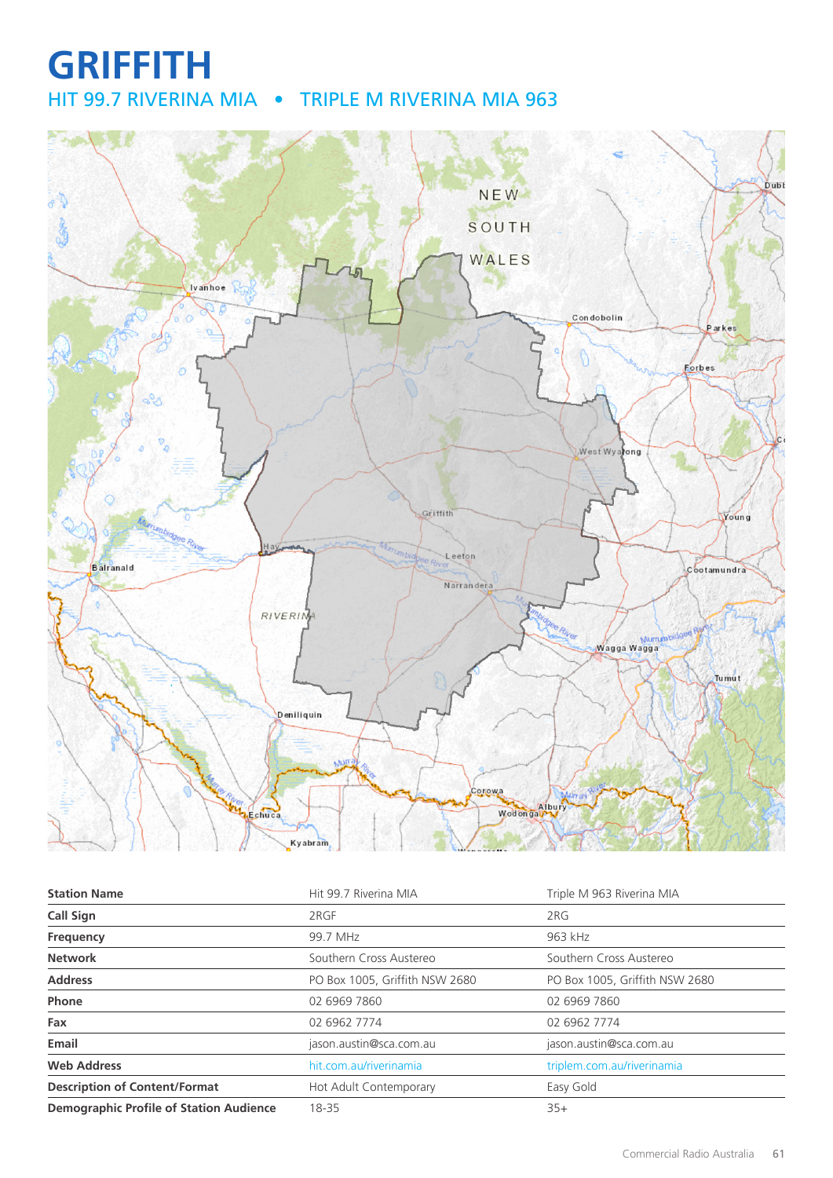## **GRIFFITH** HIT 99.7 RIVERINA MIA • TRIPLE M RIVERINA MIA 963



| <b>Station Name</b>                            | Hit 99.7 Riverina MIA          | Triple M 963 Riverina MIA      |
|------------------------------------------------|--------------------------------|--------------------------------|
| Call Sign                                      | 2RGF                           | 2RG                            |
| Frequency                                      | 99.7 MHz                       | 963 kHz                        |
| <b>Network</b>                                 | Southern Cross Austereo        | Southern Cross Austereo        |
| <b>Address</b>                                 | PO Box 1005, Griffith NSW 2680 | PO Box 1005, Griffith NSW 2680 |
| Phone                                          | 02 6969 7860                   | 02 6969 7860                   |
| Fax                                            | 02 6962 7774                   | 02 6962 7774                   |
| Email                                          | jason.austin@sca.com.au        | jason.austin@sca.com.au        |
| <b>Web Address</b>                             | hit.com.au/riverinamia         | triplem.com.au/riverinamia     |
| <b>Description of Content/Format</b>           | Hot Adult Contemporary         | Easy Gold                      |
| <b>Demographic Profile of Station Audience</b> | 18-35                          | $35+$                          |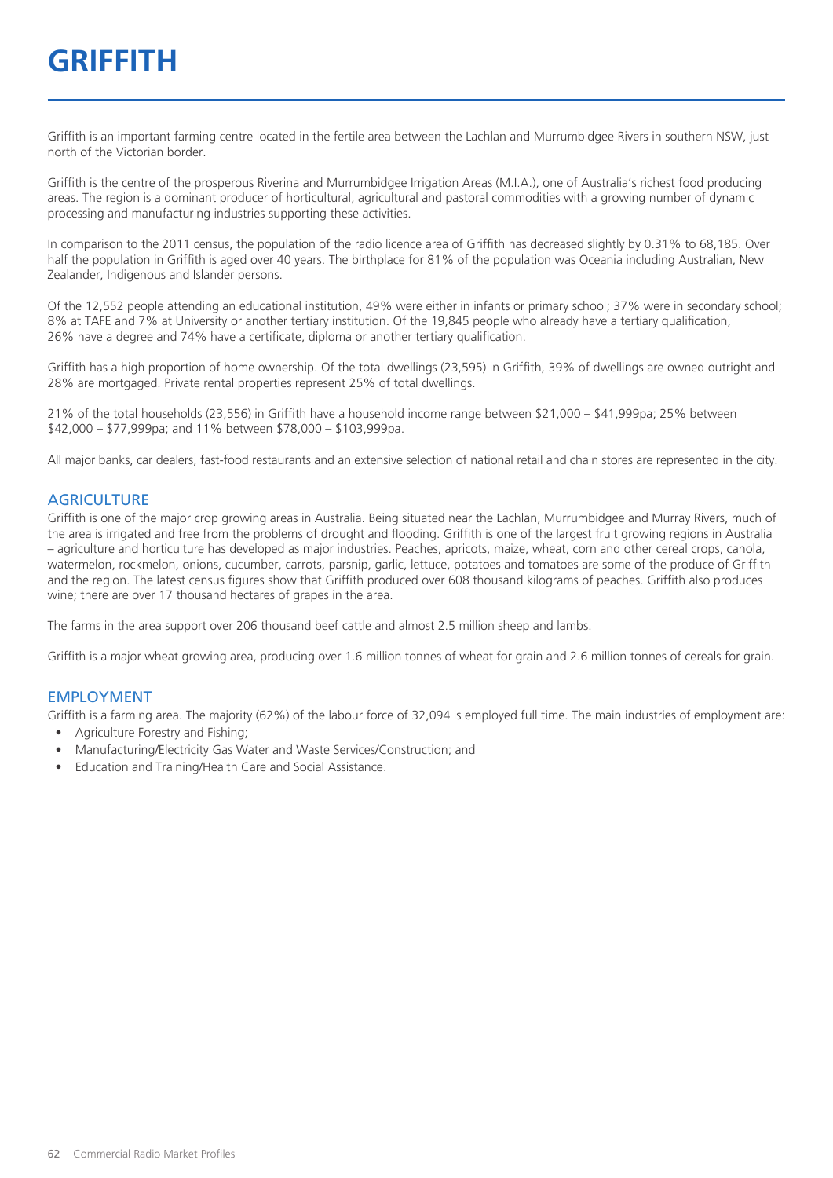# **GRIFFITH**

Griffith is an important farming centre located in the fertile area between the Lachlan and Murrumbidgee Rivers in southern NSW, just north of the Victorian border.

Griffith is the centre of the prosperous Riverina and Murrumbidgee Irrigation Areas (M.I.A.), one of Australia's richest food producing areas. The region is a dominant producer of horticultural, agricultural and pastoral commodities with a growing number of dynamic processing and manufacturing industries supporting these activities.

In comparison to the 2011 census, the population of the radio licence area of Griffith has decreased slightly by 0.31% to 68,185. Over half the population in Griffith is aged over 40 years. The birthplace for 81% of the population was Oceania including Australian, New Zealander, Indigenous and Islander persons.

Of the 12,552 people attending an educational institution, 49% were either in infants or primary school; 37% were in secondary school; 8% at TAFE and 7% at University or another tertiary institution. Of the 19,845 people who already have a tertiary qualification, 26% have a degree and 74% have a certificate, diploma or another tertiary qualification.

Griffith has a high proportion of home ownership. Of the total dwellings (23,595) in Griffith, 39% of dwellings are owned outright and 28% are mortgaged. Private rental properties represent 25% of total dwellings.

21% of the total households (23,556) in Griffith have a household income range between \$21,000 – \$41,999pa; 25% between \$42,000 – \$77,999pa; and 11% between \$78,000 – \$103,999pa.

All major banks, car dealers, fast-food restaurants and an extensive selection of national retail and chain stores are represented in the city.

#### **AGRICULTURE**

Griffith is one of the major crop growing areas in Australia. Being situated near the Lachlan, Murrumbidgee and Murray Rivers, much of the area is irrigated and free from the problems of drought and flooding. Griffith is one of the largest fruit growing regions in Australia – agriculture and horticulture has developed as major industries. Peaches, apricots, maize, wheat, corn and other cereal crops, canola, watermelon, rockmelon, onions, cucumber, carrots, parsnip, garlic, lettuce, potatoes and tomatoes are some of the produce of Griffith and the region. The latest census figures show that Griffith produced over 608 thousand kilograms of peaches. Griffith also produces wine; there are over 17 thousand hectares of grapes in the area.

The farms in the area support over 206 thousand beef cattle and almost 2.5 million sheep and lambs.

Griffith is a major wheat growing area, producing over 1.6 million tonnes of wheat for grain and 2.6 million tonnes of cereals for grain.

#### EMPLOYMENT

Griffith is a farming area. The majority (62%) of the labour force of 32,094 is employed full time. The main industries of employment are:

- Agriculture Forestry and Fishing;
- Manufacturing/Electricity Gas Water and Waste Services/Construction; and
- Education and Training/Health Care and Social Assistance.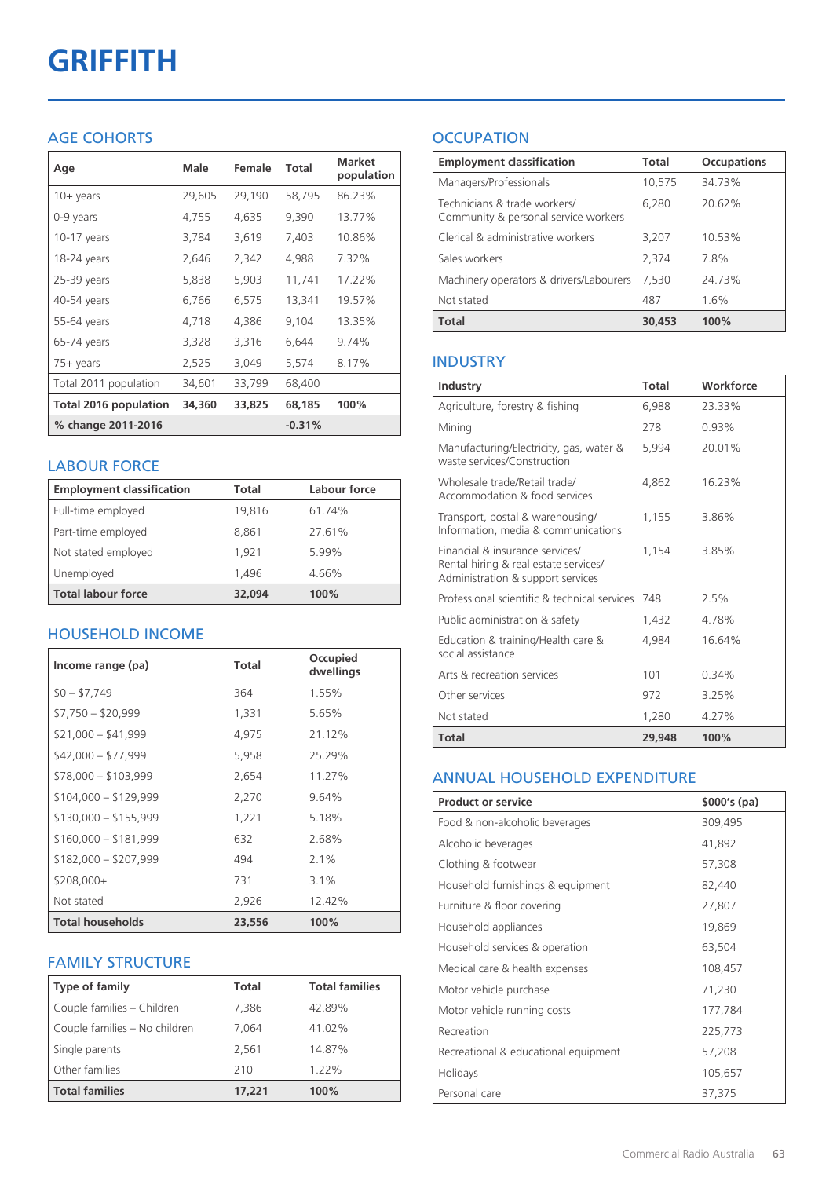# **GRIFFITH**

#### AGE COHORTS

| Age                   | Male   | Female | Total    | <b>Market</b><br>population |
|-----------------------|--------|--------|----------|-----------------------------|
| $10 +$ years          | 29,605 | 29,190 | 58,795   | 86.23%                      |
| 0-9 years             | 4,755  | 4,635  | 9,390    | 13.77%                      |
| 10-17 years           | 3,784  | 3,619  | 7,403    | 10.86%                      |
| 18-24 years           | 2,646  | 2,342  | 4,988    | 7.32%                       |
| $25-39$ years         | 5,838  | 5,903  | 11,741   | 17.22%                      |
| 40-54 years           | 6,766  | 6,575  | 13,341   | 19.57%                      |
| 55-64 years           | 4,718  | 4,386  | 9,104    | 13.35%                      |
| 65-74 years           | 3,328  | 3,316  | 6,644    | 9.74%                       |
| 75+ years             | 2,525  | 3,049  | 5,574    | 8.17%                       |
| Total 2011 population | 34,601 | 33,799 | 68,400   |                             |
| Total 2016 population | 34,360 | 33,825 | 68,185   | 100%                        |
| % change 2011-2016    |        |        | $-0.31%$ |                             |

#### LABOUR FORCE

| <b>Employment classification</b> | Total  | Labour force |
|----------------------------------|--------|--------------|
| Full-time employed               | 19,816 | 61.74%       |
| Part-time employed               | 8,861  | 27.61%       |
| Not stated employed              | 1.921  | 5.99%        |
| Unemployed                       | 1,496  | 4.66%        |
| <b>Total labour force</b>        | 32,094 | 100%         |

#### HOUSEHOLD INCOME

| Income range (pa)       | Total  | Occupied<br>dwellings |
|-------------------------|--------|-----------------------|
| $$0 - $7,749$           | 364    | 1.55%                 |
| $$7,750 - $20,999$      | 1,331  | 5.65%                 |
| $$21,000 - $41,999$     | 4,975  | 21.12%                |
| $$42,000 - $77,999$     | 5,958  | 25.29%                |
| $$78,000 - $103,999$    | 2,654  | 11.27%                |
| $$104,000 - $129,999$   | 2,270  | 9.64%                 |
| $$130,000 - $155,999$   | 1,221  | 5.18%                 |
| $$160,000 - $181,999$   | 632    | 2.68%                 |
| $$182,000 - $207,999$   | 494    | $2.1\%$               |
| \$208,000+              | 731    | $3.1\%$               |
| Not stated              | 2,926  | 12.42%                |
| <b>Total households</b> | 23,556 | 100%                  |

#### FAMILY STRUCTURE

| <b>Type of family</b>         | <b>Total</b> | <b>Total families</b> |
|-------------------------------|--------------|-----------------------|
| Couple families - Children    | 7,386        | 42.89%                |
| Couple families - No children | 7.064        | 41.02%                |
| Single parents                | 2.561        | 14.87%                |
| Other families                | 210          | 1.22%                 |
| <b>Total families</b>         | 17,221       | 100%                  |

### **OCCUPATION**

| <b>Employment classification</b>                                     | Total  | <b>Occupations</b> |
|----------------------------------------------------------------------|--------|--------------------|
| Managers/Professionals                                               | 10,575 | 34.73%             |
| Technicians & trade workers/<br>Community & personal service workers | 6,280  | 20.62%             |
| Clerical & administrative workers                                    | 3,207  | 10.53%             |
| Sales workers                                                        | 2,374  | 78%                |
| Machinery operators & drivers/Labourers                              | 7.530  | 24.73%             |
| Not stated                                                           | 487    | 1.6%               |
| <b>Total</b>                                                         | 30,453 | 100%               |

#### INDUSTRY

| Industry                                                                                                      | Total  | Workforce |
|---------------------------------------------------------------------------------------------------------------|--------|-----------|
| Agriculture, forestry & fishing                                                                               | 6,988  | 23.33%    |
| Mining                                                                                                        | 278    | 0.93%     |
| Manufacturing/Electricity, gas, water &<br>waste services/Construction                                        | 5.994  | 20.01%    |
| Wholesale trade/Retail trade/<br>Accommodation & food services                                                | 4.862  | 16.23%    |
| Transport, postal & warehousing/<br>Information, media & communications                                       | 1,155  | 3.86%     |
| Financial & insurance services/<br>Rental hiring & real estate services/<br>Administration & support services | 1.154  | 3.85%     |
| Professional scientific & technical services                                                                  | 748    | 2.5%      |
| Public administration & safety                                                                                | 1.432  | 4.78%     |
| Education & training/Health care &<br>social assistance                                                       | 4,984  | 16.64%    |
| Arts & recreation services                                                                                    | 101    | 0.34%     |
| Other services                                                                                                | 972    | 3.25%     |
| Not stated                                                                                                    | 1,280  | 4.27%     |
| Total                                                                                                         | 29,948 | 100%      |

#### ANNUAL HOUSEHOLD EXPENDITURE

| <b>Product or service</b>            | $$000's$ (pa) |
|--------------------------------------|---------------|
| Food & non-alcoholic beverages       | 309,495       |
| Alcoholic beverages                  | 41,892        |
| Clothing & footwear                  | 57,308        |
| Household furnishings & equipment    | 82,440        |
| Furniture & floor covering           | 27,807        |
| Household appliances                 | 19,869        |
| Household services & operation       | 63,504        |
| Medical care & health expenses       | 108,457       |
| Motor vehicle purchase               | 71,230        |
| Motor vehicle running costs          | 177,784       |
| Recreation                           | 225,773       |
| Recreational & educational equipment | 57,208        |
| Holidays                             | 105,657       |
| Personal care                        | 37,375        |